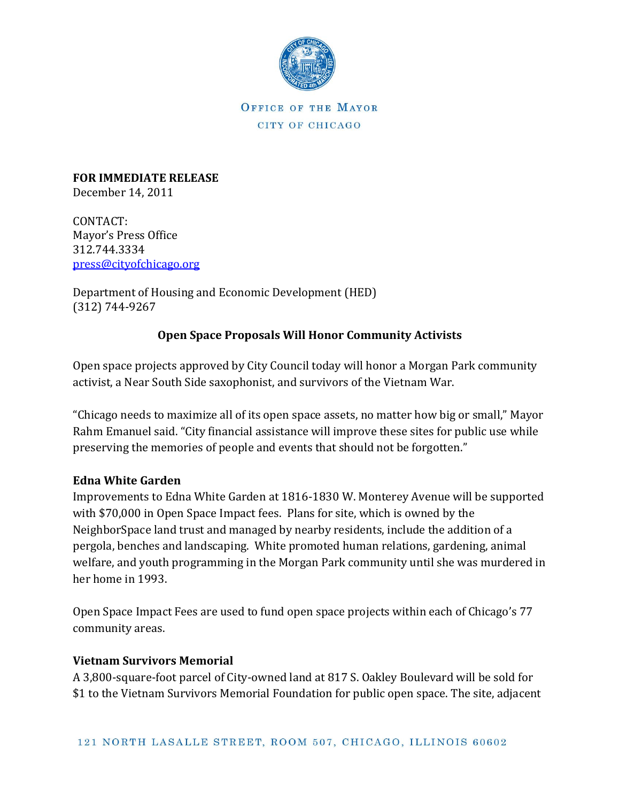

OFFICE OF THE MAYOR CITY OF CHICAGO

**FOR IMMEDIATE RELEASE** December 14, 2011

CONTACT: Mayor's Press Office 312.744.3334 [press@cityofchicago.org](mailto:press@cityofchicago.org)

Department of Housing and Economic Development (HED) (312) 744-9267

## **Open Space Proposals Will Honor Community Activists**

Open space projects approved by City Council today will honor a Morgan Park community activist, a Near South Side saxophonist, and survivors of the Vietnam War.

"Chicago needs to maximize all of its open space assets, no matter how big or small," Mayor Rahm Emanuel said. "City financial assistance will improve these sites for public use while preserving the memories of people and events that should not be forgotten."

## **Edna White Garden**

Improvements to Edna White Garden at 1816-1830 W. Monterey Avenue will be supported with \$70,000 in Open Space Impact fees. Plans for site, which is owned by the NeighborSpace land trust and managed by nearby residents, include the addition of a pergola, benches and landscaping. White promoted human relations, gardening, animal welfare, and youth programming in the Morgan Park community until she was murdered in her home in 1993.

Open Space Impact Fees are used to fund open space projects within each of Chicago's 77 community areas.

## **Vietnam Survivors Memorial**

A 3,800-square-foot parcel of City-owned land at 817 S. Oakley Boulevard will be sold for \$1 to the Vietnam Survivors Memorial Foundation for public open space. The site, adjacent